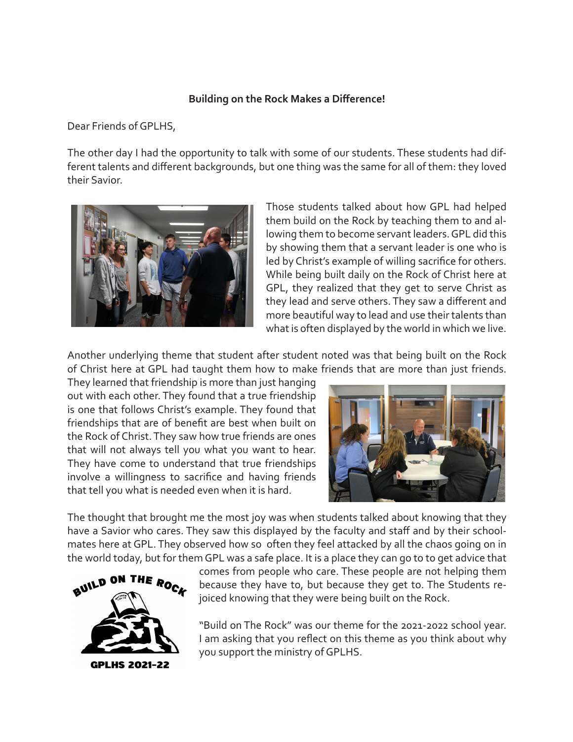## **Building on the Rock Makes a Difference!**

Dear Friends of GPLHS,

The other day I had the opportunity to talk with some of our students. These students had different talents and different backgrounds, but one thing was the same for all of them: they loved their Savior.



Those students talked about how GPL had helped them build on the Rock by teaching them to and allowing them to become servant leaders. GPL did this by showing them that a servant leader is one who is led by Christ's example of willing sacrifice for others. While being built daily on the Rock of Christ here at GPL, they realized that they get to serve Christ as they lead and serve others. They saw a different and more beautiful way to lead and use their talents than what is often displayed by the world in which we live.

Another underlying theme that student after student noted was that being built on the Rock of Christ here at GPL had taught them how to make friends that are more than just friends.

They learned that friendship is more than just hanging out with each other. They found that a true friendship is one that follows Christ's example. They found that friendships that are of benefit are best when built on the Rock of Christ. They saw how true friends are ones that will not always tell you what you want to hear. They have come to understand that true friendships involve a willingness to sacrifice and having friends that tell you what is needed even when it is hard.



The thought that brought me the most joy was when students talked about knowing that they have a Savior who cares. They saw this displayed by the faculty and staff and by their schoolmates here at GPL. They observed how so often they feel attacked by all the chaos going on in the world today, but for them GPL was a safe place. It is a place they can go to to get advice that



comes from people who care. These people are not helping them because they have to, but because they get to. The Students rejoiced knowing that they were being built on the Rock.

"Build on The Rock" was our theme for the 2021-2022 school year. I am asking that you reflect on this theme as you think about why you support the ministry of GPLHS.